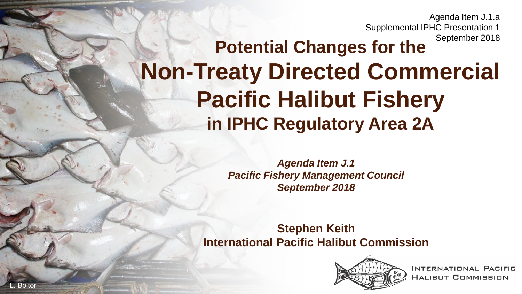Agenda Item J.1.a Supplemental IPHC Presentation 1 September 2018

### **Potential Changes for the Non-Treaty Directed Commercial Pacific Halibut Fishery in IPHC Regulatory Area 2A**

*Agenda Item J.1 Pacific Fishery Management Council September 2018*

**Stephen Keith International Pacific Halibut Commission**



**INTERNATIONAL PACIFIC** HALIBUT COMMISSION

L. Boitor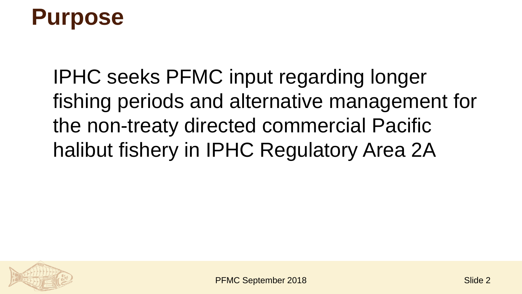## **Purpose**

IPHC seeks PFMC input regarding longer fishing periods and alternative management for the non-treaty directed commercial Pacific halibut fishery in IPHC Regulatory Area 2A

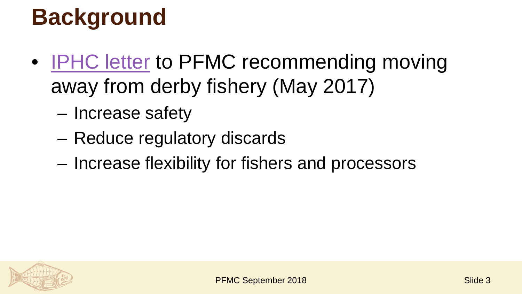# **Background**

- **[IPHC letter](http://www.pcouncil.org/wp-content/uploads/2017/06/G1a_Sup_IPHC_Ltr2_CommlDerbyFishery_Jun2017BB.pdf) to PFMC recommending moving** away from derby fishery (May 2017)
	- Increase safety
	- Reduce regulatory discards
	- Increase flexibility for fishers and processors

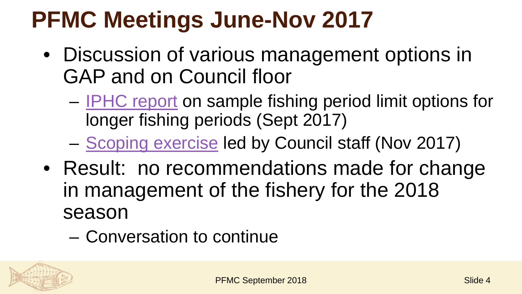## **PFMC Meetings June-Nov 2017**

- Discussion of various management options in GAP and on Council floor
	- [IPHC report](http://www.pcouncil.org/wp-content/uploads/2017/08/G1a_IPHC_Rpt1_SEPT2017BB.pdf) on sample fishing period limit options for longer fishing periods (Sept 2017)
	- [Scoping exercise](http://www.pcouncil.org/wp-content/uploads/2017/10/E1_Att3_Scoping-Matrix_NOV2017BB.pdf) led by Council staff (Nov 2017)
- Result: no recommendations made for change in management of the fishery for the 2018 season
	- Conversation to continue

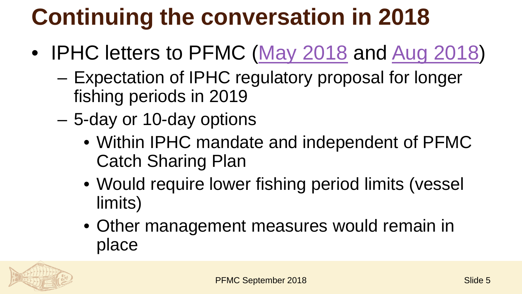# **Continuing the conversation in 2018**

- IPHC letters to PFMC ([May 2018](https://www.pcouncil.org/wp-content/uploads/2018/05/IR2_IPHC_to_Anderson_JUN2018BB.pdf) and [Aug 2018\)](https://www.pcouncil.org/wp-content/uploads/2018/08/J1a_IPHC_Rpt1_SEPTBB2018.pdf)
	- Expectation of IPHC regulatory proposal for longer fishing periods in 2019
	- 5-day or 10-day options
		- Within IPHC mandate and independent of PFMC Catch Sharing Plan
		- Would require lower fishing period limits (vessel limits)
		- Other management measures would remain in place

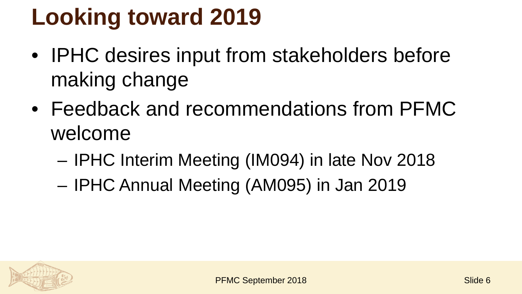# **Looking toward 2019**

- IPHC desires input from stakeholders before making change
- Feedback and recommendations from PFMC welcome
	- IPHC Interim Meeting (IM094) in late Nov 2018
	- IPHC Annual Meeting (AM095) in Jan 2019